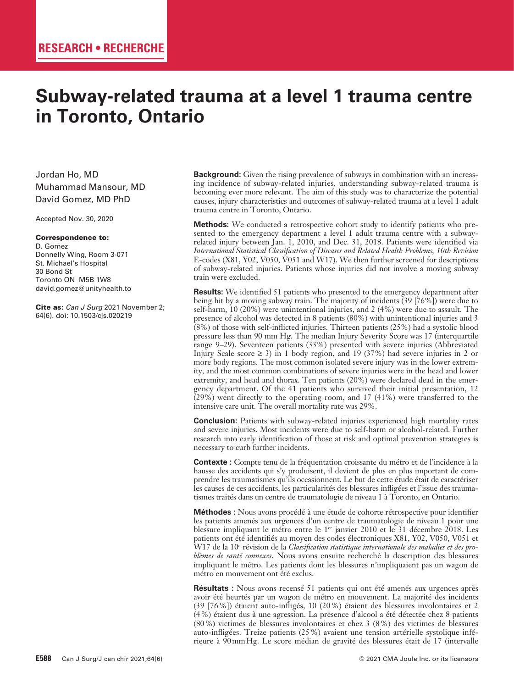# **Subway-related trauma at a level 1 trauma centre in Toronto, Ontario**

Jordan Ho, MD Muhammad Mansour, MD David Gomez, MD PhD

Accepted Nov. 30, 2020

#### Correspondence to:

D. Gomez Donnelly Wing, Room 3-071 St. Michael's Hospital 30 Bond St Toronto ON M5B 1W8 david.gomez@unityhealth.to

Cite as: *Can J Surg* 2021 November 2; 64(6). doi: 10.1503/cjs.020219

**Background:** Given the rising prevalence of subways in combination with an increasing incidence of subway-related injuries, understanding subway-related trauma is becoming ever more relevant. The aim of this study was to characterize the potential causes, injury characteristics and outcomes of subway-related trauma at a level 1 adult trauma centre in Toronto, Ontario.

**Methods:** We conducted a retrospective cohort study to identify patients who presented to the emergency department a level 1 adult trauma centre with a subwayrelated injury between Jan. 1, 2010, and Dec. 31, 2018. Patients were identified via *International Statistical Classification of Diseases and Related Health Problems, 10th Revision*  E-codes (X81, Y02, V050, V051 and W17). We then further screened for descriptions of subway-related injuries. Patients whose injuries did not involve a moving subway train were excluded.

**Results:** We identified 51 patients who presented to the emergency department after being hit by a moving subway train. The majority of incidents (39 [76%]) were due to self-harm, 10 (20%) were unintentional injuries, and 2 (4%) were due to assault. The presence of alcohol was detected in 8 patients (80%) with unintentional injuries and 3 (8%) of those with self-inflicted injuries. Thirteen patients (25%) had a systolic blood pressure less than 90 mm Hg. The median Injury Severity Score was 17 (interquartile range 9–29). Seventeen patients (33%) presented with severe injuries (Abbreviated Injury Scale score  $\geq$  3) in 1 body region, and 19 (37%) had severe injuries in 2 or more body regions. The most common isolated severe injury was in the lower extremity, and the most common combinations of severe injuries were in the head and lower extremity, and head and thorax. Ten patients (20%) were declared dead in the emergency department. Of the 41 patients who survived their initial presentation, 12 (29%) went directly to the operating room, and 17 (41%) were transferred to the intensive care unit. The overall mortality rate was 29%.

**Conclusion:** Patients with subway-related injuries experienced high mortality rates and severe injuries. Most incidents were due to self-harm or alcohol-related. Further research into early identification of those at risk and optimal prevention strategies is necessary to curb further incidents.

**Contexte :** Compte tenu de la fréquentation croissante du métro et de l'incidence à la hausse des accidents qui s'y produisent, il devient de plus en plus important de comprendre les traumatismes qu'ils occasionnent. Le but de cette étude était de caractériser les causes de ces accidents, les particularités des blessures infligées et l'issue des traumatismes traités dans un centre de traumatologie de niveau 1 à Toronto, en Ontario.

**Méthodes :** Nous avons procédé à une étude de cohorte rétrospective pour identifier les patients amenés aux urgences d'un centre de traumatologie de niveau 1 pour une blessure impliquant le métro entre le 1<sup>er</sup> janvier 2010 et le 31 décembre 2018. Les patients ont été identifiés au moyen des codes électroniques X81, Y02, V050, V051 et W17 de la 10e révision de la *Classification statistique internationale des maladies et des problèmes de santé connexes*. Nous avons ensuite recherché la description des blessures impliquant le métro. Les patients dont les blessures n'impliquaient pas un wagon de métro en mouvement ont été exclus.

**Résultats :** Nous avons recensé 51 patients qui ont été amenés aux urgences après avoir été heurtés par un wagon de métro en mouvement. La majorité des incidents (39 [76%]) étaient auto-infligés, 10 (20%) étaient des blessures involontaires et 2 (4%) étaient dus à une agression. La présence d'alcool a été détectée chez 8 patients (80%) victimes de blessures involontaires et chez 3 (8%) des victimes de blessures auto-infligées. Treize patients (25%) avaient une tension artérielle systolique inférieure à 90mmHg. Le score médian de gravité des blessures était de 17 (intervalle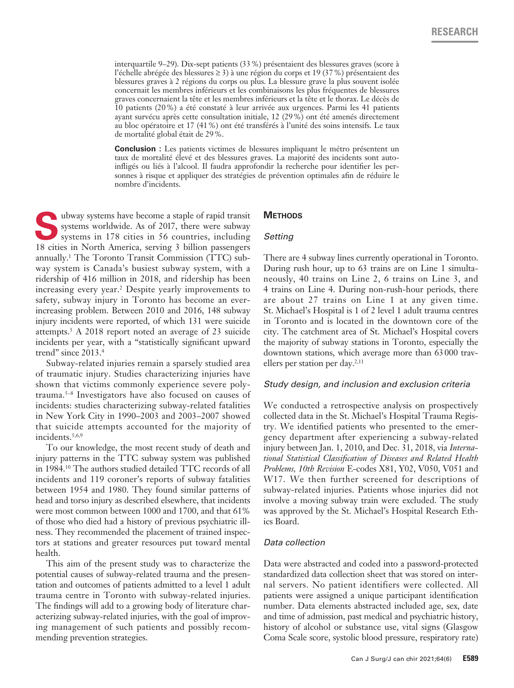interquartile 9–29). Dix-sept patients (33%) présentaient des blessures graves (score à l'échelle abrégée des blessures ≥ 3) à une région du corps et 19 (37%) présentaient des blessures graves à 2 régions du corps ou plus. La blessure grave la plus souvent isolée concernait les membres inférieurs et les combinaisons les plus fréquentes de blessures graves concernaient la tête et les membres inférieurs et la tête et le thorax. Le décès de 10 patients (20%) a été constaté à leur arrivée aux urgences. Parmi les 41 patients ayant survécu après cette consultation initiale, 12 (29%) ont été amenés directement au bloc opératoire et 17 (41%) ont été transférés à l'unité des soins intensifs. Le taux de mortalité global était de 29%.

**Conclusion :** Les patients victimes de blessures impliquant le métro présentent un taux de mortalité élevé et des blessures graves. La majorité des incidents sont autoinfligés ou liés à l'alcool. Il faudra approfondir la recherche pour identifier les personnes à risque et appliquer des stratégies de prévention optimales afin de réduire le nombre d'incidents.

**S**ubway systems have become a staple of rapid transit systems worldwide. As of 2017, there were subway systems in 178 cities in 56 countries, including 18 cities in North America, serving 3 billion passengers annually.1 The Toronto Transit Commission (TTC) subway system is Canada's busiest subway system, with a ridership of 416 million in 2018, and ridership has been increasing every year.2 Despite yearly improvements to safety, subway injury in Toronto has become an everincreasing problem. Between 2010 and 2016, 148 subway injury incidents were reported, of which 131 were suicide attempts.3 A 2018 report noted an average of 23 suicide incidents per year, with a "statistically significant upward trend" since 2013.4

Subway-related injuries remain a sparsely studied area of traumatic injury. Studies characterizing injuries have shown that victims commonly experience severe polytrauma.5–8 Investigators have also focused on causes of incidents: studies characterizing subway-related fatalities in New York City in 1990–2003 and 2003–2007 showed that suicide attempts accounted for the majority of incidents.<sup>5,6,9</sup>

To our knowledge, the most recent study of death and injury patterns in the TTC subway system was published in 1984.10 The authors studied detailed TTC records of all incidents and 119 coroner's reports of subway fatalities between 1954 and 1980. They found similar patterns of head and torso injury as described elsewhere, that incidents were most common between 1000 and 1700, and that 61% of those who died had a history of previous psychiatric illness. They recommended the placement of trained inspectors at stations and greater resources put toward mental health.

This aim of the present study was to characterize the potential causes of subway-related trauma and the presentation and outcomes of patients admitted to a level 1 adult trauma centre in Toronto with subway-related injuries. The findings will add to a growing body of literature characterizing subway-related injuries, with the goal of improving management of such patients and possibly recommending prevention strategies.

#### **METHODS**

#### *Setting*

There are 4 subway lines currently operational in Toronto. During rush hour, up to 63 trains are on Line 1 simultaneously, 40 trains on Line 2, 6 trains on Line 3, and 4 trains on Line 4. During non-rush-hour periods, there are about 27 trains on Line 1 at any given time. St. Michael's Hospital is 1 of 2 level 1 adult trauma centres in Toronto and is located in the downtown core of the city. The catchment area of St. Michael's Hospital covers the majority of subway stations in Toronto, especially the downtown stations, which average more than 63000 travellers per station per day.<sup>2,11</sup>

#### *Study design, and inclusion and exclusion criteria*

We conducted a retrospective analysis on prospectively collected data in the St. Michael's Hospital Trauma Registry. We identified patients who presented to the emergency department after experiencing a subway-related injury between Jan. 1, 2010, and Dec. 31, 2018, via *International Statistical Classification of Diseases and Related Health Problems, 10th Revision* E-codes X81, Y02, V050, V051 and W17. We then further screened for descriptions of subway-related injuries. Patients whose injuries did not involve a moving subway train were excluded. The study was approved by the St. Michael's Hospital Research Ethics Board.

#### *Data collection*

Data were abstracted and coded into a password-protected standardized data collection sheet that was stored on internal servers. No patient identifiers were collected. All patients were assigned a unique participant identification number. Data elements abstracted included age, sex, date and time of admission, past medical and psychiatric history, history of alcohol or substance use, vital signs (Glasgow Coma Scale score, systolic blood pressure, respiratory rate)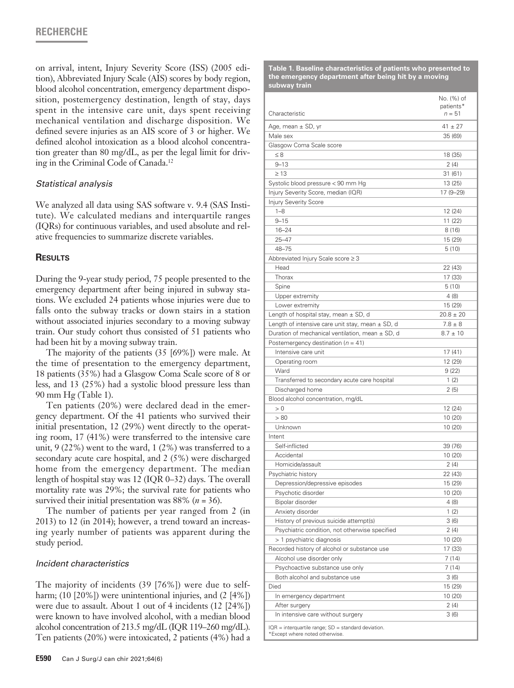on arrival, intent, Injury Severity Score (ISS) (2005 edition), Abbreviated Injury Scale (AIS) scores by body region, blood alcohol concentration, emergency department disposition, postemergency destination, length of stay, days spent in the intensive care unit, days spent receiving mechanical ventilation and discharge disposition. We defined severe injuries as an AIS score of 3 or higher. We defined alcohol intoxication as a blood alcohol concentration greater than 80 mg/dL, as per the legal limit for driving in the Criminal Code of Canada.12

# *Statistical analysis*

We analyzed all data using SAS software v. 9.4 (SAS Institute). We calculated medians and interquartile ranges (IQRs) for continuous variables, and used absolute and relative frequencies to summarize discrete variables.

## **Results**

During the 9-year study period, 75 people presented to the emergency department after being injured in subway stations. We excluded 24 patients whose injuries were due to falls onto the subway tracks or down stairs in a station without associated injuries secondary to a moving subway train. Our study cohort thus consisted of 51 patients who had been hit by a moving subway train.

The majority of the patients (35 [69%]) were male. At the time of presentation to the emergency department, 18 patients (35%) had a Glasgow Coma Scale score of 8 or less, and 13 (25%) had a systolic blood pressure less than 90 mm Hg (Table 1).

Ten patients (20%) were declared dead in the emergency department. Of the 41 patients who survived their initial presentation, 12 (29%) went directly to the operating room, 17 (41%) were transferred to the intensive care unit, 9 (22%) went to the ward, 1 (2%) was transferred to a secondary acute care hospital, and 2 (5%) were discharged home from the emergency department. The median length of hospital stay was 12 (IQR 0–32) days. The overall mortality rate was 29%; the survival rate for patients who survived their initial presentation was 88% (*n* = 36).

The number of patients per year ranged from 2 (in 2013) to 12 (in 2014); however, a trend toward an increasing yearly number of patients was apparent during the study period.

## *Incident characteristics*

The majority of incidents (39 [76%]) were due to selfharm; (10 [20%]) were unintentional injuries, and (2 [4%]) were due to assault. About 1 out of 4 incidents (12 [24%]) were known to have involved alcohol, with a median blood alcohol concentration of 213.5 mg/dL (IQR 119–260 mg/dL). Ten patients (20%) were intoxicated, 2 patients (4%) had a

|                                                                                           | No. (%) of<br>patients* |
|-------------------------------------------------------------------------------------------|-------------------------|
| Characteristic                                                                            | n = 51                  |
| Age, mean $\pm$ SD, yr                                                                    | $41 \pm 27$             |
| Male sex                                                                                  | 35 (69)                 |
| Glasgow Coma Scale score                                                                  |                         |
| $\leq 8$                                                                                  | 18 (35)                 |
| $9 - 13$                                                                                  | 2(4)                    |
| $\geq 13$                                                                                 | 31(61)                  |
| Systolic blood pressure < 90 mm Hg                                                        | 13 (25)                 |
| Injury Severity Score, median (IQR)                                                       | 17 (9–29)               |
| <b>Injury Severity Score</b>                                                              |                         |
| $1 - 8$                                                                                   | 12 (24)                 |
| $9 - 15$                                                                                  | 11 (22)                 |
| $16 - 24$                                                                                 | 8(16)                   |
| $25 - 47$                                                                                 | 15 (29)                 |
| 48-75                                                                                     | 5(10)                   |
| Abbreviated Injury Scale score ≥ 3                                                        |                         |
| Head                                                                                      | 22 (43)                 |
| Thorax                                                                                    | 17 (33)                 |
| Spine                                                                                     | 5(10)                   |
| Upper extremity<br>Lower extremity                                                        | 4 (8)<br>15 (29)        |
| Length of hospital stay, mean $\pm$ SD, d                                                 | $20.8 \pm 20$           |
| Length of intensive care unit stay, mean $\pm$ SD, d                                      | $7.8 \pm 8$             |
| Duration of mechanical ventilation, mean $\pm$ SD, d                                      | $8.7 \pm 10$            |
| Postemergency destination ( $n = 41$ )                                                    |                         |
| Intensive care unit                                                                       | 17 (41)                 |
| Operating room                                                                            | 12 (29)                 |
| Ward                                                                                      | 9(22)                   |
| Transferred to secondary acute care hospital                                              | 1(2)                    |
| Discharged home                                                                           | 2(5)                    |
| Blood alcohol concentration, mg/dL                                                        |                         |
| > 0                                                                                       | 12 (24)                 |
| > 80                                                                                      | 10 (20)                 |
| Unknown                                                                                   | 10 (20)                 |
| Intent                                                                                    |                         |
| Self-inflicted                                                                            | 39 (76)                 |
| Accidental                                                                                | 10(20)                  |
| Homicide/assault                                                                          | 2(4)                    |
| Psychiatric history                                                                       | 22 (43)                 |
| Depression/depressive episodes                                                            | 15 (29)                 |
| Psychotic disorder                                                                        | 10 (20)                 |
| Bipolar disorder                                                                          | 4(8)                    |
| Anxiety disorder                                                                          | 1(2)                    |
| History of previous suicide attempt(s)                                                    | 3(6)                    |
| Psychiatric condition, not otherwise specified                                            | 2(4)                    |
| > 1 psychiatric diagnosis                                                                 | 10 (20)                 |
| Recorded history of alcohol or substance use                                              | 17 (33)                 |
| Alcohol use disorder only                                                                 | 7(14)                   |
| Psychoactive substance use only                                                           | 7(14)                   |
| Both alcohol and substance use                                                            | 3(6)                    |
| Died                                                                                      | 15 (29)                 |
| In emergency department                                                                   | 10 (20)                 |
| After surgery                                                                             | 2 (4)                   |
| In intensive care without surgery                                                         | 3(6)                    |
| $IQR =$ interquartile range; $SD =$ standard deviation.<br>*Except where noted otherwise. |                         |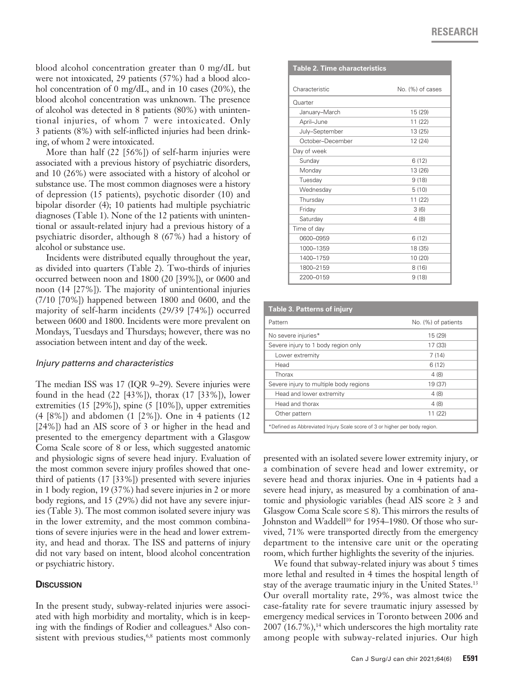blood alcohol concentration greater than 0 mg/dL but were not intoxicated, 29 patients (57%) had a blood alcohol concentration of 0 mg/dL, and in 10 cases (20%), the blood alcohol concentration was unknown. The presence of alcohol was detected in 8 patients (80%) with unintentional injuries, of whom 7 were intoxicated. Only 3 patients (8%) with self-inflicted injuries had been drinking, of whom 2 were intoxicated.

More than half (22 [56%]) of self-harm injuries were associated with a previous history of psychiatric disorders, and 10 (26%) were associated with a history of alcohol or substance use. The most common diagnoses were a history of depression (15 patients), psychotic disorder (10) and bipolar disorder (4); 10 patients had multiple psychiatric diagnoses (Table 1). None of the 12 patients with unintentional or assault-related injury had a previous history of a psychiatric disorder, although 8 (67%) had a history of alcohol or substance use.

Incidents were distributed equally throughout the year, as divided into quarters (Table 2). Two-thirds of injuries occurred between noon and 1800 (20 [39%]), or 0600 and noon (14 [27%]). The majority of unintentional injuries (7/10 [70%]) happened between 1800 and 0600, and the majority of self-harm incidents (29/39 [74%]) occurred between 0600 and 1800. Incidents were more prevalent on Mondays, Tuesdays and Thursdays; however, there was no association between intent and day of the week.

## *Injury patterns and characteristics*

The median ISS was 17 (IQR 9–29). Severe injuries were found in the head (22 [43%]), thorax (17 [33%]), lower extremities (15 [29%]), spine (5 [10%]), upper extremities (4 [8%]) and abdomen (1 [2%]). One in 4 patients (12 [24%]) had an AIS score of 3 or higher in the head and presented to the emergency department with a Glasgow Coma Scale score of 8 or less, which suggested anatomic and physiologic signs of severe head injury. Evaluation of the most common severe injury profiles showed that onethird of patients (17 [33%]) presented with severe injuries in 1 body region, 19 (37%) had severe injuries in 2 or more body regions, and 15 (29%) did not have any severe injuries (Table 3). The most common isolated severe injury was in the lower extremity, and the most common combinations of severe injuries were in the head and lower extremity, and head and thorax. The ISS and patterns of injury did not vary based on intent, blood alcohol concentration or psychiatric history.

# **Discussion**

In the present study, subway-related injuries were associated with high morbidity and mortality, which is in keeping with the findings of Rodier and colleagues.<sup>8</sup> Also consistent with previous studies,<sup>6,8</sup> patients most commonly

| <b>Table 2. Time characteristics</b> |                  |
|--------------------------------------|------------------|
| Characteristic                       | No. (%) of cases |
| Quarter                              |                  |
| January-March                        | 15 (29)          |
| April-June                           | 11(22)           |
| July-September                       | 13 (25)          |
| October-December                     | 12 (24)          |
| Day of week                          |                  |
| Sunday                               | 6(12)            |
| Monday                               | 13 (26)          |
| Tuesday                              | 9(18)            |
| Wednesday                            | 5(10)            |
| Thursday                             | 11(22)           |
| Friday                               | 3(6)             |
| Saturday                             | 4(8)             |
| Time of day                          |                  |
| 0600-0959                            | 6(12)            |
| 1000-1359                            | 18 (35)          |
| 1400-1759                            | 10 (20)          |
| 1800-2159                            | 8(16)            |
| 2200-0159                            | 9(18)            |

| <b>Table 3. Patterns of injury</b>                                         |                     |  |
|----------------------------------------------------------------------------|---------------------|--|
| Pattern                                                                    | No. (%) of patients |  |
| No severe injuries*                                                        | 15 (29)             |  |
| Severe injury to 1 body region only                                        | 17 (33)             |  |
| Lower extremity                                                            | 7(14)               |  |
| Head                                                                       | 6(12)               |  |
| Thorax                                                                     | 4(8)                |  |
| Severe injury to multiple body regions                                     | 19 (37)             |  |
| Head and lower extremity                                                   | 4(8)                |  |
| Head and thorax                                                            | 4(8)                |  |
| Other pattern                                                              | 11(22)              |  |
| *Defined as Abbreviated Injury Scale score of 3 or higher per body region. |                     |  |

presented with an isolated severe lower extremity injury, or a combination of severe head and lower extremity, or severe head and thorax injuries. One in 4 patients had a severe head injury, as measured by a combination of anatomic and physiologic variables (head AIS score  $\geq 3$  and Glasgow Coma Scale score  $\leq 8$ ). This mirrors the results of Johnston and Waddell<sup>10</sup> for 1954–1980. Of those who survived, 71% were transported directly from the emergency department to the intensive care unit or the operating room, which further highlights the severity of the injuries.

We found that subway-related injury was about 5 times more lethal and resulted in 4 times the hospital length of stay of the average traumatic injury in the United States.<sup>13</sup> Our overall mortality rate, 29%, was almost twice the case-fatality rate for severe traumatic injury assessed by emergency medical services in Toronto between 2006 and  $2007$  (16.7%),<sup>14</sup> which underscores the high mortality rate among people with subway-related injuries. Our high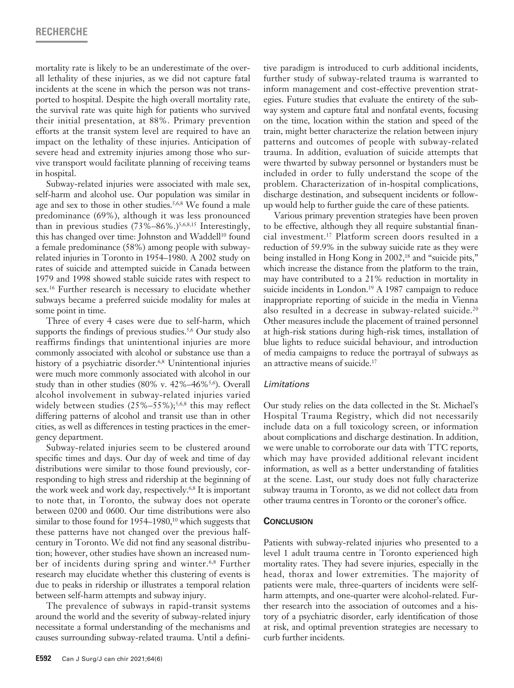# **RECHERCHE**

mortality rate is likely to be an underestimate of the overall lethality of these injuries, as we did not capture fatal incidents at the scene in which the person was not transported to hospital. Despite the high overall mortality rate, the survival rate was quite high for patients who survived their initial presentation, at 88%. Primary prevention efforts at the transit system level are required to have an impact on the lethality of these injuries. Anticipation of severe head and extremity injuries among those who survive transport would facilitate planning of receiving teams in hospital.

Subway-related injuries were associated with male sex, self-harm and alcohol use. Our population was similar in age and sex to those in other studies.<sup>5,6,8</sup> We found a male predominance (69%), although it was less pronounced than in previous studies  $(73\% - 86\%).$ <sup>5,6,8,15</sup> Interestingly, this has changed over time: Johnston and Waddell<sup>10</sup> found a female predominance (58%) among people with subwayrelated injuries in Toronto in 1954–1980. A 2002 study on rates of suicide and attempted suicide in Canada between 1979 and 1998 showed stable suicide rates with respect to sex.16 Further research is necessary to elucidate whether subways became a preferred suicide modality for males at some point in time.

Three of every 4 cases were due to self-harm, which supports the findings of previous studies.<sup>5,6</sup> Our study also reaffirms findings that unintentional injuries are more commonly associated with alcohol or substance use than a history of a psychiatric disorder.<sup>6,8</sup> Unintentional injuries were much more commonly associated with alcohol in our study than in other studies (80% v. 42%–46%5,6). Overall alcohol involvement in subway-related injuries varied widely between studies  $(25\% - 55\%)$ ;<sup>5,6,8</sup> this may reflect differing patterns of alcohol and transit use than in other cities, as well as differences in testing practices in the emergency department.

Subway-related injuries seem to be clustered around specific times and days. Our day of week and time of day distributions were similar to those found previously, corresponding to high stress and ridership at the beginning of the work week and work day, respectively.6,8 It is important to note that, in Toronto, the subway does not operate between 0200 and 0600. Our time distributions were also similar to those found for  $1954-1980$ ,<sup>10</sup> which suggests that these patterns have not changed over the previous halfcentury in Toronto. We did not find any seasonal distribution; however, other studies have shown an increased number of incidents during spring and winter.6,8 Further research may elucidate whether this clustering of events is due to peaks in ridership or illustrates a temporal relation between self-harm attempts and subway injury.

The prevalence of subways in rapid-transit systems around the world and the severity of subway-related injury necessitate a formal understanding of the mechanisms and causes surrounding subway-related trauma. Until a definitive paradigm is introduced to curb additional incidents, further study of subway-related trauma is warranted to inform management and cost-effective prevention strategies. Future studies that evaluate the entirety of the subway system and capture fatal and nonfatal events, focusing on the time, location within the station and speed of the train, might better characterize the relation between injury patterns and outcomes of people with subway-related trauma. In addition, evaluation of suicide attempts that were thwarted by subway personnel or bystanders must be included in order to fully understand the scope of the problem. Characterization of in-hospital complications, discharge destination, and subsequent incidents or followup would help to further guide the care of these patients.

Various primary prevention strategies have been proven to be effective, although they all require substantial financial investment.17 Platform screen doors resulted in a reduction of 59.9% in the subway suicide rate as they were being installed in Hong Kong in 2002,<sup>18</sup> and "suicide pits," which increase the distance from the platform to the train, may have contributed to a 21% reduction in mortality in suicide incidents in London.<sup>19</sup> A 1987 campaign to reduce inappropriate reporting of suicide in the media in Vienna also resulted in a decrease in subway-related suicide.<sup>20</sup> Other measures include the placement of trained personnel at high-risk stations during high-risk times, installation of blue lights to reduce suicidal behaviour, and introduction of media campaigns to reduce the portrayal of subways as an attractive means of suicide.<sup>17</sup>

## *Limitations*

Our study relies on the data collected in the St. Michael's Hospital Trauma Registry, which did not necessarily include data on a full toxicology screen, or information about complications and discharge destination. In addition, we were unable to corroborate our data with TTC reports, which may have provided additional relevant incident information, as well as a better understanding of fatalities at the scene. Last, our study does not fully characterize subway trauma in Toronto, as we did not collect data from other trauma centres in Toronto or the coroner's office.

#### **Conclusion**

Patients with subway-related injuries who presented to a level 1 adult trauma centre in Toronto experienced high mortality rates. They had severe injuries, especially in the head, thorax and lower extremities. The majority of patients were male, three-quarters of incidents were selfharm attempts, and one-quarter were alcohol-related. Further research into the association of outcomes and a history of a psychiatric disorder, early identification of those at risk, and optimal prevention strategies are necessary to curb further incidents.